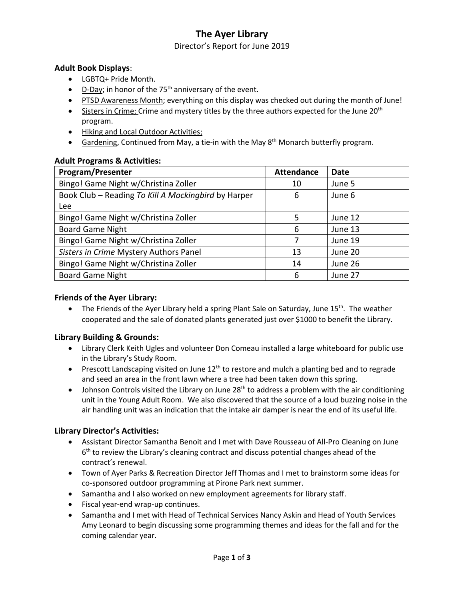# **The Ayer Library**

### Director's Report for June 2019

## **Adult Book Displays**:

- LGBTQ+ Pride Month.
- $\bullet$  D-Day; in honor of the 75<sup>th</sup> anniversary of the event.
- PTSD Awareness Month; everything on this display was checked out during the month of June!
- Sisters in Crime; Crime and mystery titles by the three authors expected for the June 20<sup>th</sup> program.
- Hiking and Local Outdoor Activities;
- Gardening, Continued from May, a tie-in with the May  $8<sup>th</sup>$  Monarch butterfly program.

## **Adult Programs & Activities:**

| <b>Program/Presenter</b>                            | <b>Attendance</b> | Date    |
|-----------------------------------------------------|-------------------|---------|
| Bingo! Game Night w/Christina Zoller                | 10                | June 5  |
| Book Club - Reading To Kill A Mockingbird by Harper | 6                 | June 6  |
| Lee                                                 |                   |         |
| Bingo! Game Night w/Christina Zoller                | 5                 | June 12 |
| <b>Board Game Night</b>                             | 6                 | June 13 |
| Bingo! Game Night w/Christina Zoller                |                   | June 19 |
| Sisters in Crime Mystery Authors Panel              | 13                | June 20 |
| Bingo! Game Night w/Christina Zoller                | 14                | June 26 |
| <b>Board Game Night</b>                             | 6                 | June 27 |

## **Friends of the Ayer Library:**

• The Friends of the Ayer Library held a spring Plant Sale on Saturday, June  $15<sup>th</sup>$ . The weather cooperated and the sale of donated plants generated just over \$1000 to benefit the Library.

### **Library Building & Grounds:**

- Library Clerk Keith Ugles and volunteer Don Comeau installed a large whiteboard for public use in the Library's Study Room.
- Prescott Landscaping visited on June  $12<sup>th</sup>$  to restore and mulch a planting bed and to regrade and seed an area in the front lawn where a tree had been taken down this spring.
- $\bullet$  Johnson Controls visited the Library on June 28<sup>th</sup> to address a problem with the air conditioning unit in the Young Adult Room. We also discovered that the source of a loud buzzing noise in the air handling unit was an indication that the intake air damper is near the end of its useful life.

# **Library Director's Activities:**

- Assistant Director Samantha Benoit and I met with Dave Rousseau of All-Pro Cleaning on June 6<sup>th</sup> to review the Library's cleaning contract and discuss potential changes ahead of the contract's renewal.
- Town of Ayer Parks & Recreation Director Jeff Thomas and I met to brainstorm some ideas for co-sponsored outdoor programming at Pirone Park next summer.
- Samantha and I also worked on new employment agreements for library staff.
- Fiscal year-end wrap-up continues.
- Samantha and I met with Head of Technical Services Nancy Askin and Head of Youth Services Amy Leonard to begin discussing some programming themes and ideas for the fall and for the coming calendar year.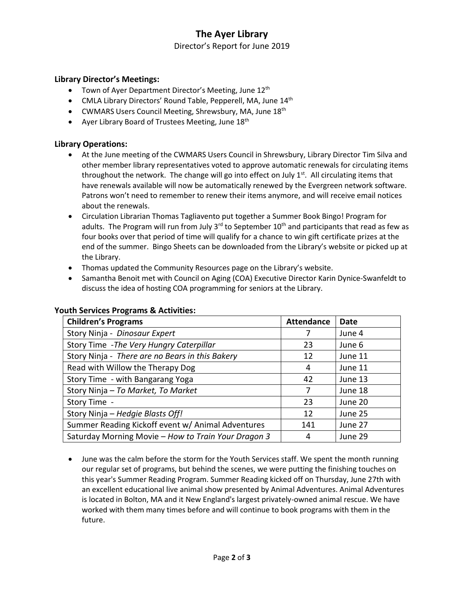# **The Ayer Library**

Director's Report for June 2019

### **Library Director's Meetings:**

- Town of Ayer Department Director's Meeting, June 12<sup>th</sup>
- $\bullet$  CMLA Library Directors' Round Table, Pepperell, MA, June  $14<sup>th</sup>$
- CWMARS Users Council Meeting, Shrewsbury, MA, June  $18<sup>th</sup>$
- Ayer Library Board of Trustees Meeting, June 18<sup>th</sup>

### **Library Operations:**

- At the June meeting of the CWMARS Users Council in Shrewsbury, Library Director Tim Silva and other member library representatives voted to approve automatic renewals for circulating items throughout the network. The change will go into effect on July  $1<sup>st</sup>$ . All circulating items that have renewals available will now be automatically renewed by the Evergreen network software. Patrons won't need to remember to renew their items anymore, and will receive email notices about the renewals.
- Circulation Librarian Thomas Tagliavento put together a Summer Book Bingo! Program for adults. The Program will run from July 3<sup>rd</sup> to September 10<sup>th</sup> and participants that read as few as four books over that period of time will qualify for a chance to win gift certificate prizes at the end of the summer. Bingo Sheets can be downloaded from the Library's website or picked up at the Library.
- Thomas updated the Community Resources page on the Library's website.
- Samantha Benoit met with Council on Aging (COA) Executive Director Karin Dynice-Swanfeldt to discuss the idea of hosting COA programming for seniors at the Library.

| <b>Children's Programs</b>                          | <b>Attendance</b> | Date    |
|-----------------------------------------------------|-------------------|---------|
| Story Ninja - Dinosaur Expert                       |                   | June 4  |
| Story Time - The Very Hungry Caterpillar            | 23                | June 6  |
| Story Ninja - There are no Bears in this Bakery     | 12                | June 11 |
| Read with Willow the Therapy Dog                    | 4                 | June 11 |
| Story Time - with Bangarang Yoga                    | 42                | June 13 |
| Story Ninja - To Market, To Market                  | 7                 | June 18 |
| Story Time -                                        | 23                | June 20 |
| Story Ninja – Hedgie Blasts Off!                    | 12                | June 25 |
| Summer Reading Kickoff event w/ Animal Adventures   | 141               | June 27 |
| Saturday Morning Movie - How to Train Your Dragon 3 | 4                 | June 29 |

#### **Youth Services Programs & Activities:**

 June was the calm before the storm for the Youth Services staff. We spent the month running our regular set of programs, but behind the scenes, we were putting the finishing touches on this year's Summer Reading Program. Summer Reading kicked off on Thursday, June 27th with an excellent educational live animal show presented by Animal Adventures. Animal Adventures is located in Bolton, MA and it New England's largest privately-owned animal rescue. We have worked with them many times before and will continue to book programs with them in the future.